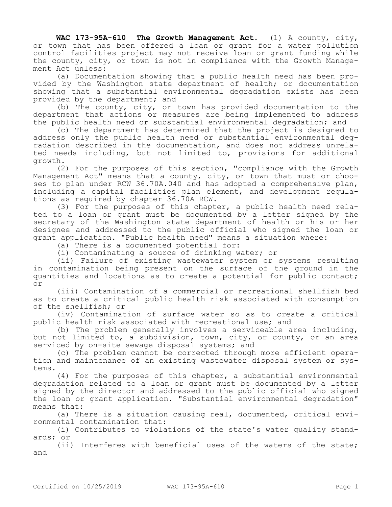**WAC 173-95A-610 The Growth Management Act.** (1) A county, city, or town that has been offered a loan or grant for a water pollution control facilities project may not receive loan or grant funding while the county, city, or town is not in compliance with the Growth Management Act unless:

(a) Documentation showing that a public health need has been provided by the Washington state department of health; or documentation showing that a substantial environmental degradation exists has been provided by the department; and

(b) The county, city, or town has provided documentation to the department that actions or measures are being implemented to address the public health need or substantial environmental degradation; and

(c) The department has determined that the project is designed to address only the public health need or substantial environmental degradation described in the documentation, and does not address unrelated needs including, but not limited to, provisions for additional growth.

(2) For the purposes of this section, "compliance with the Growth Management Act" means that a county, city, or town that must or chooses to plan under RCW 36.70A.040 and has adopted a comprehensive plan, including a capital facilities plan element, and development regulations as required by chapter 36.70A RCW.

(3) For the purposes of this chapter, a public health need related to a loan or grant must be documented by a letter signed by the secretary of the Washington state department of health or his or her designee and addressed to the public official who signed the loan or grant application. "Public health need" means a situation where:

(a) There is a documented potential for:

(i) Contaminating a source of drinking water; or

(ii) Failure of existing wastewater system or systems resulting in contamination being present on the surface of the ground in the quantities and locations as to create a potential for public contact; or

(iii) Contamination of a commercial or recreational shellfish bed as to create a critical public health risk associated with consumption of the shellfish; or

(iv) Contamination of surface water so as to create a critical public health risk associated with recreational use; and

(b) The problem generally involves a serviceable area including, but not limited to, a subdivision, town, city, or county, or an area serviced by on-site sewage disposal systems; and

(c) The problem cannot be corrected through more efficient operation and maintenance of an existing wastewater disposal system or systems.

(4) For the purposes of this chapter, a substantial environmental degradation related to a loan or grant must be documented by a letter signed by the director and addressed to the public official who signed the loan or grant application. "Substantial environmental degradation" means that:

(a) There is a situation causing real, documented, critical environmental contamination that:

(i) Contributes to violations of the state's water quality standards; or

(ii) Interferes with beneficial uses of the waters of the state; and